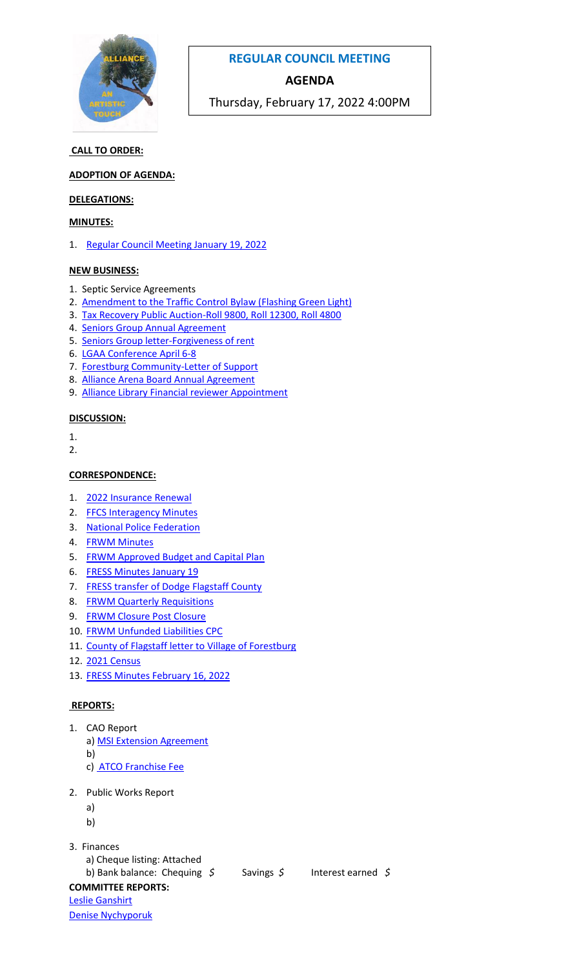

# **REGULAR COUNCIL MEETING**

## **AGENDA**

Thursday, February 17, 2022 4:00PM

### **CALL TO ORDER:**

#### **ADOPTION OF AGENDA:**

#### **DELEGATIONS:**

#### **MINUTES:**

1. Regular Council Meeting [January 19, 2022](http://www.villageofalliance.ca/_mndata/valliance/uploaded_files/January%2019,%202022%20Minutes.pdf)

#### **NEW BUSINESS:**

- 1. Septic Service Agreements
- 2. [Amendment to the Traffic Control Bylaw \(Flashing Green Light\)](http://www.villageofalliance.ca/_mndata/valliance/uploaded_files/2022-01%20Amendment%20FLASHING%20GREEN%20LIGHT%20BYLAW.pdf)
- 3. [Tax Recovery Public Auction-Roll 9800, Roll 12300, Roll 4800](http://www.villageofalliance.ca/_mndata/valliance/uploaded_files/2022%20Lots%20for%20Auction.pdf)
- 4. [Seniors Group Annual Agreement](http://www.villageofalliance.ca/_mndata/valliance/uploaded_files/Alliance%20Senior%20Group%20Agreement%202022.pdf)
- 5. [Seniors Group letter-Forgiveness of rent](http://www.villageofalliance.ca/_mndata/valliance/uploaded_files/Seniors%20Group%20letter.pdf)
- 6. [LGAA Conference April 6-8](http://www.villageofalliance.ca/_mndata/valliance/uploaded_files/LGAA%20CONFERENCE.pdf)
- 7. [Forestburg Community-Letter of Support](http://www.villageofalliance.ca/_mndata/valliance/uploaded_files/Forestburg%20Community%20Letter%20of%20Support.pdf)
- 8. [Alliance Arena Board Annual Agreement](http://www.villageofalliance.ca/_mndata/valliance/uploaded_files/Alliance%20Arena%20Agreement%202022.pdf)
- 9. [Alliance Library Financial reviewer Appointment](http://www.villageofalliance.ca/_mndata/valliance/uploaded_files/Alliance%20Public%20Library-appoint%202021%20financial%20reviewer.pdf)

#### **DISCUSSION:**

- 1.
- 2.

#### **CORRESPONDENCE:**

- 1. [2022 Insurance Renewal](http://www.villageofalliance.ca/_mndata/valliance/uploaded_files/2022%20Village%20Insurance.pdf)
- 2. [FFCS Interagency Minutes](http://www.villageofalliance.ca/_mndata/valliance/uploaded_files/FFCS%20Interagency%20Minutes%20Janaury%2011,%202022.pdf)
- 3. [National Police Federation](http://www.villageofalliance.ca/_mndata/valliance/uploaded_files/National%20Police%20Federation%20re%20GoA%20Consultations.pdf)
- 4. [FRWM Minutes](http://www.villageofalliance.ca/_mndata/valliance/uploaded_files/FRWM%20January%2024,%202022%20Regular%20Meeting%20Minutes.pdf)
- 5. [FRWM Approved Budget and Capital Plan](http://www.villageofalliance.ca/_mndata/valliance/uploaded_files/Flagstaff%20Waste%20APPROVED%202022%20Budget%20&%20Capital%20Plan.pdf)
- 6. [FRESS Minutes January 19](http://www.villageofalliance.ca/_mndata/valliance/uploaded_files/2022-01-19%20Flagstaff%20Regional%20Emergency%20Services%20Society%20(FRESS)%20Meeting%20Minutes.pdf)
- 7. [FRESS transfer of Dodge Flagstaff County](http://www.villageofalliance.ca/_mndata/valliance/uploaded_files/Transfer%20of%20Dodge%20Truck%20to%20FRESS%20and%20Fire%20Guardian%20Appointment-Flagstaff%20County.pdf)
- 8. [FRWM Quarterly Requisitions](http://www.villageofalliance.ca/_mndata/valliance/uploaded_files/2022%20FRWM%20Quarterly%20Requisitions.pdf)
- 9. [FRWM Closure Post Closure](http://www.villageofalliance.ca/_mndata/valliance/uploaded_files/Closure%20Post%20Closure%20annual%20report%20to%20partners%202021%20yearend.pdf)
- 10. [FRWM Unfunded Liabilities CPC](http://www.villageofalliance.ca/_mndata/valliance/uploaded_files/FRWM%202021%20unfunded%20liability.pdf)
- 11. [County of Flagstaff letter to Village of Forestburg](http://www.villageofalliance.ca/_mndata/valliance/uploaded_files/Village%20of%20Forestburg%20-%20Agreements%20Extension%20and%20Transfer%20to%20FRESS.pdf)
- 12. [2021 Census](http://www.villageofalliance.ca/_mndata/valliance/uploaded_files/2021%20Census%20-%20Flagstaff%20County%20Combined%20Population%20stats.pdf)
- 13. [FRESS Minutes February 16, 2022](http://www.villageofalliance.ca/_mndata/valliance/uploaded_files/2022-02-16%20Flagstaff%20Regional%20Emergency%20Services%20Society%20(FRESS)%20Meeting%20Minutes.pdf)

### **REPORTS:**

- 1. CAO Report
	- a) [MSI Extension Agreement](http://www.villageofalliance.ca/_mndata/valliance/uploaded_files/MSI%20Extension%20Agreement.pdf)
	- b)
	- c) [ATCO Franchise Fee](http://www.villageofalliance.ca/_mndata/valliance/uploaded_files/ATCO%20FRANCHISE%20FEE%20JANUARY%202022.pdf)
- 2. Public Works Report
	- a)
	- b)
	-
- 3. Finances
	- a) Cheque listing: Attached

```
 b) Bank balance: Chequing $ Savings $ Interest earned $
COMMITTEE REPORTS:
Leslie Ganshirt
```
[Denise Nychyporuk](http://www.villageofalliance.ca/_mndata/valliance/uploaded_files/Denise_Arena%20Meeting%20February%209.pdf)